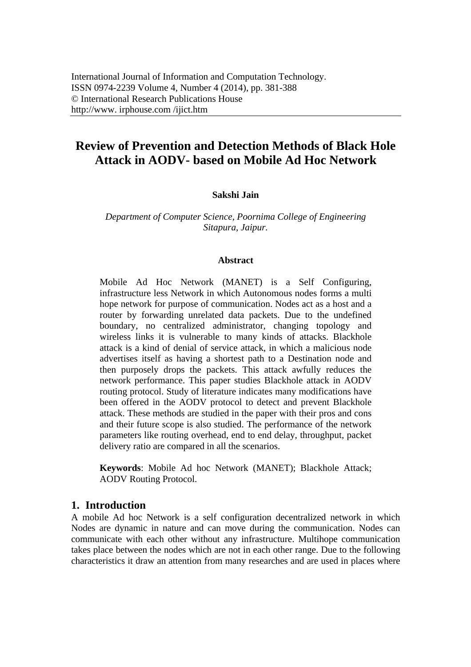# **Review of Prevention and Detection Methods of Black Hole Attack in AODV- based on Mobile Ad Hoc Network**

## **Sakshi Jain**

*Department of Computer Science, Poornima College of Engineering Sitapura, Jaipur.* 

#### **Abstract**

Mobile Ad Hoc Network (MANET) is a Self Configuring, infrastructure less Network in which Autonomous nodes forms a multi hope network for purpose of communication. Nodes act as a host and a router by forwarding unrelated data packets. Due to the undefined boundary, no centralized administrator, changing topology and wireless links it is vulnerable to many kinds of attacks. Blackhole attack is a kind of denial of service attack, in which a malicious node advertises itself as having a shortest path to a Destination node and then purposely drops the packets. This attack awfully reduces the network performance. This paper studies Blackhole attack in AODV routing protocol. Study of literature indicates many modifications have been offered in the AODV protocol to detect and prevent Blackhole attack. These methods are studied in the paper with their pros and cons and their future scope is also studied. The performance of the network parameters like routing overhead, end to end delay, throughput, packet delivery ratio are compared in all the scenarios.

**Keywords**: Mobile Ad hoc Network (MANET); Blackhole Attack; AODV Routing Protocol.

## **1. Introduction**

A mobile Ad hoc Network is a self configuration decentralized network in which Nodes are dynamic in nature and can move during the communication. Nodes can communicate with each other without any infrastructure. Multihope communication takes place between the nodes which are not in each other range. Due to the following characteristics it draw an attention from many researches and are used in places where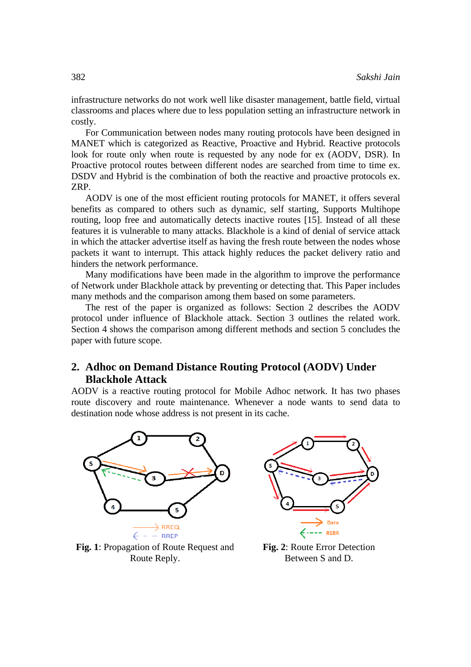infrastructure networks do not work well like disaster management, battle field, virtual classrooms and places where due to less population setting an infrastructure network in costly.

For Communication between nodes many routing protocols have been designed in MANET which is categorized as Reactive, Proactive and Hybrid. Reactive protocols look for route only when route is requested by any node for ex (AODV, DSR). In Proactive protocol routes between different nodes are searched from time to time ex. DSDV and Hybrid is the combination of both the reactive and proactive protocols ex. ZRP.

AODV is one of the most efficient routing protocols for MANET, it offers several benefits as compared to others such as dynamic, self starting, Supports Multihope routing, loop free and automatically detects inactive routes [15]. Instead of all these features it is vulnerable to many attacks. Blackhole is a kind of denial of service attack in which the attacker advertise itself as having the fresh route between the nodes whose packets it want to interrupt. This attack highly reduces the packet delivery ratio and hinders the network performance.

Many modifications have been made in the algorithm to improve the performance of Network under Blackhole attack by preventing or detecting that. This Paper includes many methods and the comparison among them based on some parameters.

The rest of the paper is organized as follows: Section 2 describes the AODV protocol under influence of Blackhole attack. Section 3 outlines the related work. Section 4 shows the comparison among different methods and section 5 concludes the paper with future scope.

# **2. Adhoc on Demand Distance Routing Protocol (AODV) Under Blackhole Attack**

AODV is a reactive routing protocol for Mobile Adhoc network. It has two phases route discovery and route maintenance. Whenever a node wants to send data to destination node whose address is not present in its cache.



**Fig. 1**: Propagation of Route Request and Route Reply.



**Fig. 2**: Route Error Detection Between S and D.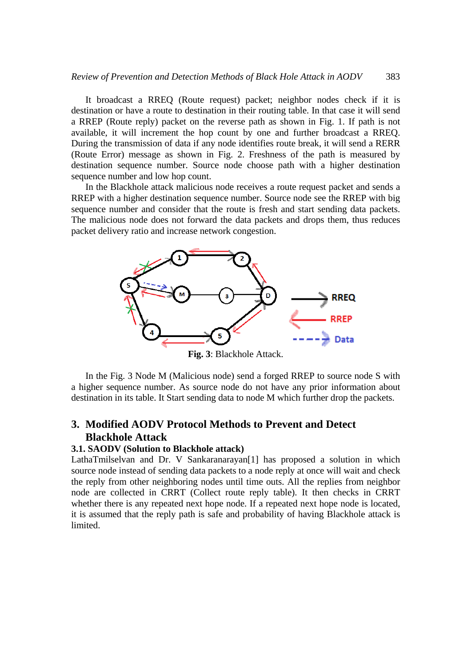It broadcast a RREQ (Route request) packet; neighbor nodes check if it is destination or have a route to destination in their routing table. In that case it will send a RREP (Route reply) packet on the reverse path as shown in Fig. 1. If path is not available, it will increment the hop count by one and further broadcast a RREQ. During the transmission of data if any node identifies route break, it will send a RERR (Route Error) message as shown in Fig. 2. Freshness of the path is measured by destination sequence number. Source node choose path with a higher destination sequence number and low hop count.

In the Blackhole attack malicious node receives a route request packet and sends a RREP with a higher destination sequence number. Source node see the RREP with big sequence number and consider that the route is fresh and start sending data packets. The malicious node does not forward the data packets and drops them, thus reduces packet delivery ratio and increase network congestion.



**Fig. 3**: Blackhole Attack.

In the Fig. 3 Node M (Malicious node) send a forged RREP to source node S with a higher sequence number. As source node do not have any prior information about destination in its table. It Start sending data to node M which further drop the packets.

# **3. Modified AODV Protocol Methods to Prevent and Detect Blackhole Attack**

### **3.1. SAODV (Solution to Blackhole attack)**

LathaTmilselvan and Dr. V Sankaranarayan<sup>[1]</sup> has proposed a solution in which source node instead of sending data packets to a node reply at once will wait and check the reply from other neighboring nodes until time outs. All the replies from neighbor node are collected in CRRT (Collect route reply table). It then checks in CRRT whether there is any repeated next hope node. If a repeated next hope node is located, it is assumed that the reply path is safe and probability of having Blackhole attack is limited.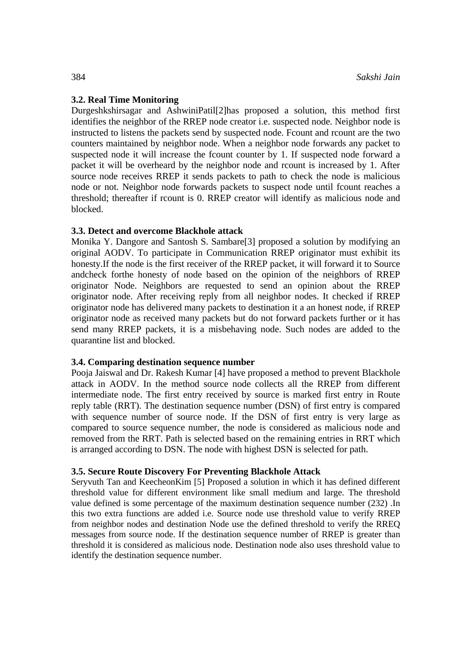#### **3.2. Real Time Monitoring**

Durgeshkshirsagar and AshwiniPatil[2]has proposed a solution, this method first identifies the neighbor of the RREP node creator i.e. suspected node. Neighbor node is instructed to listens the packets send by suspected node. Fcount and rcount are the two counters maintained by neighbor node. When a neighbor node forwards any packet to suspected node it will increase the fcount counter by 1. If suspected node forward a packet it will be overheard by the neighbor node and rcount is increased by 1. After source node receives RREP it sends packets to path to check the node is malicious node or not. Neighbor node forwards packets to suspect node until fcount reaches a threshold; thereafter if rcount is 0. RREP creator will identify as malicious node and blocked.

#### **3.3. Detect and overcome Blackhole attack**

Monika Y. Dangore and Santosh S. Sambare[3] proposed a solution by modifying an original AODV. To participate in Communication RREP originator must exhibit its honesty.If the node is the first receiver of the RREP packet, it will forward it to Source andcheck forthe honesty of node based on the opinion of the neighbors of RREP originator Node. Neighbors are requested to send an opinion about the RREP originator node. After receiving reply from all neighbor nodes. It checked if RREP originator node has delivered many packets to destination it a an honest node, if RREP originator node as received many packets but do not forward packets further or it has send many RREP packets, it is a misbehaving node. Such nodes are added to the quarantine list and blocked.

#### **3.4. Comparing destination sequence number**

Pooja Jaiswal and Dr. Rakesh Kumar [4] have proposed a method to prevent Blackhole attack in AODV. In the method source node collects all the RREP from different intermediate node. The first entry received by source is marked first entry in Route reply table (RRT). The destination sequence number (DSN) of first entry is compared with sequence number of source node. If the DSN of first entry is very large as compared to source sequence number, the node is considered as malicious node and removed from the RRT. Path is selected based on the remaining entries in RRT which is arranged according to DSN. The node with highest DSN is selected for path.

### **3.5. Secure Route Discovery For Preventing Blackhole Attack**

Seryvuth Tan and KeecheonKim [5] Proposed a solution in which it has defined different threshold value for different environment like small medium and large. The threshold value defined is some percentage of the maximum destination sequence number (232) .In this two extra functions are added i.e. Source node use threshold value to verify RREP from neighbor nodes and destination Node use the defined threshold to verify the RREQ messages from source node. If the destination sequence number of RREP is greater than threshold it is considered as malicious node. Destination node also uses threshold value to identify the destination sequence number.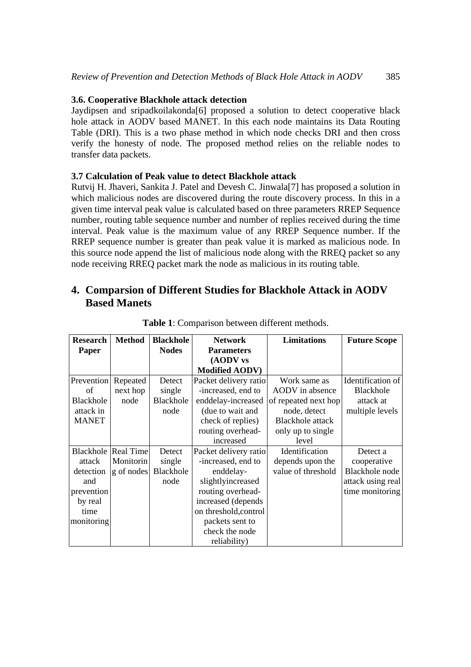## **3.6. Cooperative Blackhole attack detection**

Jaydipsen and sripadkoilakonda<sup>[6]</sup> proposed a solution to detect cooperative black hole attack in AODV based MANET. In this each node maintains its Data Routing Table (DRI). This is a two phase method in which node checks DRI and then cross verify the honesty of node. The proposed method relies on the reliable nodes to transfer data packets.

## **3.7 Calculation of Peak value to detect Blackhole attack**

Rutvij H. Jhaveri, Sankita J. Patel and Devesh C. Jinwala[7] has proposed a solution in which malicious nodes are discovered during the route discovery process. In this in a given time interval peak value is calculated based on three parameters RREP Sequence number, routing table sequence number and number of replies received during the time interval. Peak value is the maximum value of any RREP Sequence number. If the RREP sequence number is greater than peak value it is marked as malicious node. In this source node append the list of malicious node along with the RREQ packet so any node receiving RREQ packet mark the node as malicious in its routing table.

# **4. Comparsion of Different Studies for Blackhole Attack in AODV Based Manets**

| <b>Research</b> | <b>Method</b>              | <b>Blackhole</b> | <b>Network</b>        | <b>Limitations</b>      | <b>Future Scope</b> |
|-----------------|----------------------------|------------------|-----------------------|-------------------------|---------------------|
| Paper           |                            | <b>Nodes</b>     | <b>Parameters</b>     |                         |                     |
|                 |                            |                  | (AODV vs              |                         |                     |
|                 |                            |                  | <b>Modified AODV)</b> |                         |                     |
| Prevention      | Repeated                   | Detect           | Packet delivery ratio | Work same as            | Identification of   |
| of              | next hop                   | single           | -increased, end to    | AODV in absence         | <b>Blackhole</b>    |
| Blackhole       | node                       | Blackhole        | enddelay-increased    | of repeated next hop    | attack at           |
| attack in       |                            | node             | (due to wait and      | node, detect            | multiple levels     |
| <b>MANET</b>    |                            |                  | check of replies)     | <b>Blackhole</b> attack |                     |
|                 |                            |                  | routing overhead-     | only up to single       |                     |
|                 |                            |                  | increased             | level                   |                     |
|                 | <b>Blackhole Real Time</b> | Detect           | Packet delivery ratio | Identification          | Detect a            |
| attack          | Monitorin                  | single           | -increased, end to    | depends upon the        | cooperative         |
| detection       | g of nodes                 | Blackhole        | enddelay-             | value of threshold      | Blackhole node      |
| and             |                            | node             | slightlyincreased     |                         | attack using real   |
| prevention      |                            |                  | routing overhead-     |                         | time monitoring     |
| by real         |                            |                  | increased (depends    |                         |                     |
| time            |                            |                  | on threshold, control |                         |                     |
| monitoring      |                            |                  | packets sent to       |                         |                     |
|                 |                            |                  | check the node        |                         |                     |
|                 |                            |                  | reliability)          |                         |                     |

**Table 1**: Comparison between different methods.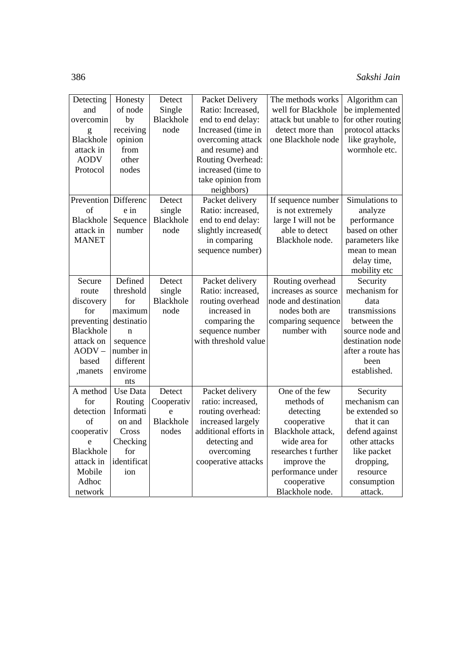| Detecting    | Honesty         | Detect           | Packet Delivery       | The methods works    | Algorithm can     |
|--------------|-----------------|------------------|-----------------------|----------------------|-------------------|
| and          | of node         | Single           | Ratio: Increased,     | well for Blackhole   | be implemented    |
| overcomin    | by              | Blackhole        | end to end delay:     | attack but unable to | for other routing |
| g            | receiving       | node             | Increased (time in    | detect more than     | protocol attacks  |
| Blackhole    | opinion         |                  | overcoming attack     | one Blackhole node   | like grayhole,    |
| attack in    | from            |                  | and resume) and       |                      | wormhole etc.     |
| <b>AODV</b>  | other           |                  | Routing Overhead:     |                      |                   |
| Protocol     | nodes           |                  | increased (time to    |                      |                   |
|              |                 |                  | take opinion from     |                      |                   |
|              |                 |                  | neighbors)            |                      |                   |
| Prevention   | Differenc       | Detect           | Packet delivery       | If sequence number   | Simulations to    |
| of           | e in            | single           | Ratio: increased,     | is not extremely     | analyze           |
| Blackhole    | Sequence        | Blackhole        | end to end delay:     | large I will not be  | performance       |
| attack in    | number          | node             | slightly increased(   | able to detect       | based on other    |
| <b>MANET</b> |                 |                  | in comparing          | Blackhole node.      | parameters like   |
|              |                 |                  | sequence number)      |                      | mean to mean      |
|              |                 |                  |                       |                      | delay time,       |
|              |                 |                  |                       |                      | mobility etc      |
| Secure       | Defined         | Detect           | Packet delivery       | Routing overhead     | Security          |
| route        | threshold       | single           | Ratio: increased,     | increases as source  | mechanism for     |
| discovery    | for             | Blackhole        | routing overhead      | node and destination | data              |
| for          | maximum         | node             | increased in          | nodes both are       | transmissions     |
| preventing   | destinatio      |                  | comparing the         | comparing sequence   | between the       |
| Blackhole    | n               |                  | sequence number       | number with          | source node and   |
| attack on    | sequence        |                  | with threshold value  |                      | destination node  |
| $AODV -$     | number in       |                  |                       |                      | after a route has |
| based        | different       |                  |                       |                      | been              |
| ,manets      | envirome        |                  |                       |                      | established.      |
|              | nts             |                  |                       |                      |                   |
| A method     | <b>Use Data</b> | Detect           | Packet delivery       | One of the few       | Security          |
| for          | Routing         | Cooperativ       | ratio: increased,     | methods of           | mechanism can     |
| detection    | Informati       | e                | routing overhead:     | detecting            | be extended so    |
| of           | on and          | <b>Blackhole</b> | increased largely     | cooperative          | that it can       |
| cooperativ   | Cross           | nodes            | additional efforts in | Blackhole attack,    | defend against    |
| e            | Checking        |                  | detecting and         | wide area for        | other attacks     |
| Blackhole    | for             |                  | overcoming            | researches t further | like packet       |
| attack in    | identificat     |                  | cooperative attacks   | improve the          | dropping,         |
| Mobile       | ion             |                  |                       | performance under    | resource          |
| Adhoc        |                 |                  |                       | cooperative          | consumption       |
| network      |                 |                  |                       | Blackhole node.      | attack.           |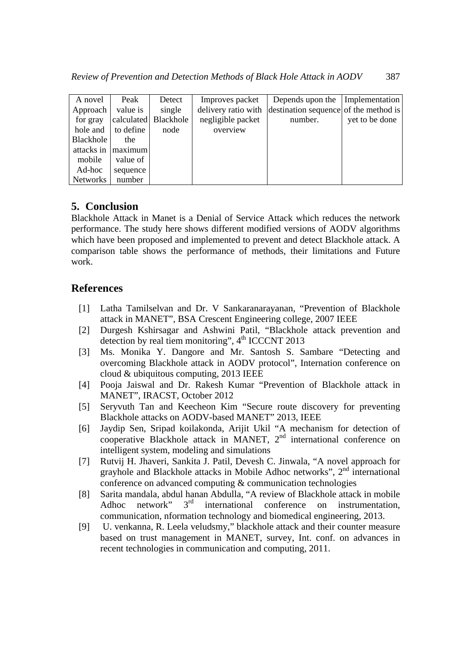| A novel         | Peak       | Detect    | Improves packet     | Depends upon the Implementation       |                |
|-----------------|------------|-----------|---------------------|---------------------------------------|----------------|
| Approach        | value is   | single    | delivery ratio with | destination sequence of the method is |                |
| for gray        | calculated | Blackhole | negligible packet   | number.                               | yet to be done |
| hole and        | to define  | node      | overview            |                                       |                |
| Blackhole       | the        |           |                     |                                       |                |
| attacks in      | maximum    |           |                     |                                       |                |
| mobile          | value of   |           |                     |                                       |                |
| Ad-hoc          | sequence   |           |                     |                                       |                |
| <b>Networks</b> | number     |           |                     |                                       |                |

# **5. Conclusion**

Blackhole Attack in Manet is a Denial of Service Attack which reduces the network performance. The study here shows different modified versions of AODV algorithms which have been proposed and implemented to prevent and detect Blackhole attack. A comparison table shows the performance of methods, their limitations and Future work.

# **References**

- [1] Latha Tamilselvan and Dr. V Sankaranarayanan, "Prevention of Blackhole attack in MANET", BSA Crescent Engineering college, 2007 IEEE
- [2] Durgesh Kshirsagar and Ashwini Patil, "Blackhole attack prevention and detection by real tiem monitoring",  $4<sup>th</sup>$  ICCCNT 2013
- [3] Ms. Monika Y. Dangore and Mr. Santosh S. Sambare "Detecting and overcoming Blackhole attack in AODV protocol", Internation conference on cloud & ubiquitous computing, 2013 IEEE
- [4] Pooja Jaiswal and Dr. Rakesh Kumar "Prevention of Blackhole attack in MANET", IRACST, October 2012
- [5] Seryvuth Tan and Keecheon Kim "Secure route discovery for preventing Blackhole attacks on AODV-based MANET" 2013, IEEE
- [6] Jaydip Sen, Sripad koilakonda, Arijit Ukil "A mechanism for detection of cooperative Blackhole attack in MANET,  $2<sup>nd</sup>$  international conference on intelligent system, modeling and simulations
- [7] Rutvij H. Jhaveri, Sankita J. Patil, Devesh C. Jinwala, "A novel approach for grayhole and Blackhole attacks in Mobile Adhoc networks",  $2<sup>nd</sup>$  international conference on advanced computing & communication technologies
- [8] Sarita mandala, abdul hanan Abdulla, "A review of Blackhole attack in mobile<br>Adhoc network"  $3^{rd}$  international conference on instrumentation Adhoc network" 3<sup>rd</sup> international conference on instrumentation, communication, nformation technology and biomedical engineering, 2013.
- [9] U. venkanna, R. Leela veludsmy," blackhole attack and their counter measure based on trust management in MANET, survey, Int. conf. on advances in recent technologies in communication and computing, 2011.